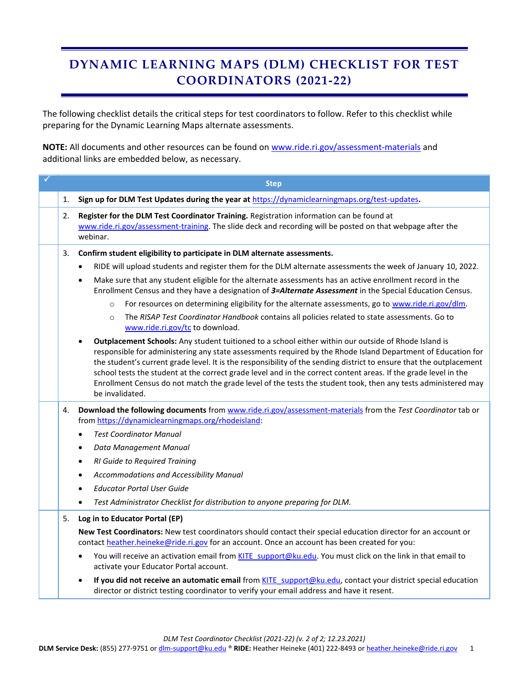## **DYNAMIC LEARNING MAPS (DLM) CHECKLIST FOR TEST COORDINATORS (2021-22)**

The following checklist details the critical steps for test coordinators to follow. Refer to this checklist while preparing for the Dynamic Learning Maps alternate assessments.

**NOTE:** All documents and other resources can be found on [www.ride.ri.gov/assessment-materials](http://www.ride.ri.gov/assessment-materials) and additional links are embedded below, as necessary.

|    | <b>Step</b>                                                                                                                                                                                                                                                                                                                                                                                                                                                                                                                                                                                        |
|----|----------------------------------------------------------------------------------------------------------------------------------------------------------------------------------------------------------------------------------------------------------------------------------------------------------------------------------------------------------------------------------------------------------------------------------------------------------------------------------------------------------------------------------------------------------------------------------------------------|
| 1. | Sign up for DLM Test Updates during the year at https://dynamiclearningmaps.org/test-updates.                                                                                                                                                                                                                                                                                                                                                                                                                                                                                                      |
| 2. | Register for the DLM Test Coordinator Training. Registration information can be found at<br>www.ride.ri.gov/assessment-training. The slide deck and recording will be posted on that webpage after the<br>webinar.                                                                                                                                                                                                                                                                                                                                                                                 |
| 3. | Confirm student eligibility to participate in DLM alternate assessments.                                                                                                                                                                                                                                                                                                                                                                                                                                                                                                                           |
|    | RIDE will upload students and register them for the DLM alternate assessments the week of January 10, 2022.<br>$\bullet$                                                                                                                                                                                                                                                                                                                                                                                                                                                                           |
|    | Make sure that any student eligible for the alternate assessments has an active enrollment record in the<br>$\bullet$<br>Enrollment Census and they have a designation of 3=Alternate Assessment in the Special Education Census.                                                                                                                                                                                                                                                                                                                                                                  |
|    | For resources on determining eligibility for the alternate assessments, go to www.ride.ri.gov/dlm.<br>$\circ$                                                                                                                                                                                                                                                                                                                                                                                                                                                                                      |
|    | The RISAP Test Coordinator Handbook contains all policies related to state assessments. Go to<br>$\circ$<br>www.ride.ri.gov/tc to download.                                                                                                                                                                                                                                                                                                                                                                                                                                                        |
|    | Outplacement Schools: Any student tuitioned to a school either within our outside of Rhode Island is<br>responsible for administering any state assessments required by the Rhode Island Department of Education for<br>the student's current grade level. It is the responsibility of the sending district to ensure that the outplacement<br>school tests the student at the correct grade level and in the correct content areas. If the grade level in the<br>Enrollment Census do not match the grade level of the tests the student took, then any tests administered may<br>be invalidated. |
| 4. | Download the following documents from www.ride.ri.gov/assessment-materials from the Test Coordinator tab or<br>from https://dynamiclearningmaps.org/rhodeisland:                                                                                                                                                                                                                                                                                                                                                                                                                                   |
|    | <b>Test Coordinator Manual</b><br>$\bullet$                                                                                                                                                                                                                                                                                                                                                                                                                                                                                                                                                        |
|    | Data Management Manual<br>$\bullet$                                                                                                                                                                                                                                                                                                                                                                                                                                                                                                                                                                |
|    | RI Guide to Required Training<br>$\bullet$                                                                                                                                                                                                                                                                                                                                                                                                                                                                                                                                                         |
|    | Accommodations and Accessibility Manual<br>$\bullet$                                                                                                                                                                                                                                                                                                                                                                                                                                                                                                                                               |
|    | <b>Educator Portal User Guide</b>                                                                                                                                                                                                                                                                                                                                                                                                                                                                                                                                                                  |
|    | Test Administrator Checklist for distribution to anyone preparing for DLM.<br>$\bullet$                                                                                                                                                                                                                                                                                                                                                                                                                                                                                                            |
| 5. | Log in to Educator Portal (EP)                                                                                                                                                                                                                                                                                                                                                                                                                                                                                                                                                                     |
|    | New Test Coordinators: New test coordinators should contact their special education director for an account or<br>contact heather.heineke@ride.ri.gov for an account. Once an account has been created for you:                                                                                                                                                                                                                                                                                                                                                                                    |
|    | You will receive an activation email from KITE support@ku.edu. You must click on the link in that email to<br>$\bullet$<br>activate your Educator Portal account.                                                                                                                                                                                                                                                                                                                                                                                                                                  |
|    | If you did not receive an automatic email from KITE_support@ku.edu, contact your district special education<br>director or district testing coordinator to verify your email address and have it resent.                                                                                                                                                                                                                                                                                                                                                                                           |

*DLM Test Coordinator Checklist (2021-22) (v. 2 of 2; 12.23.2021)*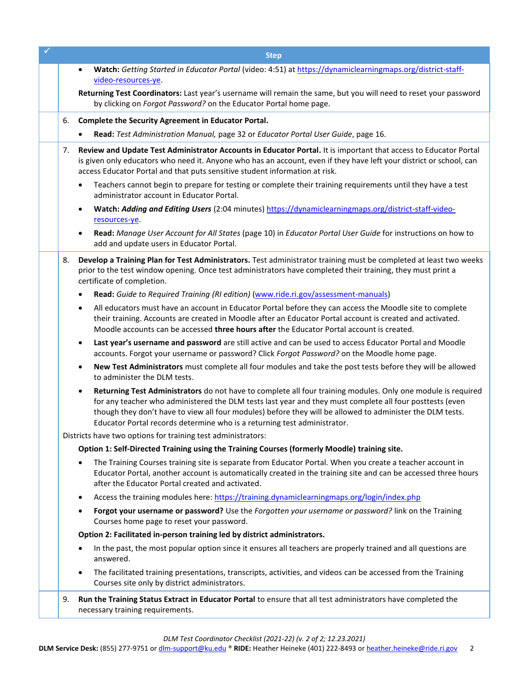|    | <b>Step</b>                                                                                                                                                                                                                                                                                                                                                                                                                    |
|----|--------------------------------------------------------------------------------------------------------------------------------------------------------------------------------------------------------------------------------------------------------------------------------------------------------------------------------------------------------------------------------------------------------------------------------|
|    | Watch: Getting Started in Educator Portal (video: 4:51) at https://dynamiclearningmaps.org/district-staff-<br>$\bullet$                                                                                                                                                                                                                                                                                                        |
|    | video-resources-ye.                                                                                                                                                                                                                                                                                                                                                                                                            |
|    | Returning Test Coordinators: Last year's username will remain the same, but you will need to reset your password<br>by clicking on Forgot Password? on the Educator Portal home page.                                                                                                                                                                                                                                          |
| 6. | Complete the Security Agreement in Educator Portal.                                                                                                                                                                                                                                                                                                                                                                            |
|    | Read: Test Administration Manual, page 32 or Educator Portal User Guide, page 16.                                                                                                                                                                                                                                                                                                                                              |
| 7. | Review and Update Test Administrator Accounts in Educator Portal. It is important that access to Educator Portal<br>is given only educators who need it. Anyone who has an account, even if they have left your district or school, can<br>access Educator Portal and that puts sensitive student information at risk.                                                                                                         |
|    | Teachers cannot begin to prepare for testing or complete their training requirements until they have a test<br>٠<br>administrator account in Educator Portal.                                                                                                                                                                                                                                                                  |
|    | Watch: Adding and Editing Users (2:04 minutes) https://dynamiclearningmaps.org/district-staff-video-<br>$\bullet$<br>resources-ye.                                                                                                                                                                                                                                                                                             |
|    | Read: Manage User Account for All States (page 10) in Educator Portal User Guide for instructions on how to<br>$\bullet$<br>add and update users in Educator Portal.                                                                                                                                                                                                                                                           |
| 8. | Develop a Training Plan for Test Administrators. Test administrator training must be completed at least two weeks<br>prior to the test window opening. Once test administrators have completed their training, they must print a<br>certificate of completion.                                                                                                                                                                 |
|    | Read: Guide to Required Training (RI edition) (www.ride.ri.gov/assessment-manuals)                                                                                                                                                                                                                                                                                                                                             |
|    | All educators must have an account in Educator Portal before they can access the Moodle site to complete<br>$\bullet$<br>their training. Accounts are created in Moodle after an Educator Portal account is created and activated.<br>Moodle accounts can be accessed three hours after the Educator Portal account is created.                                                                                                |
|    | Last year's username and password are still active and can be used to access Educator Portal and Moodle<br>$\bullet$<br>accounts. Forgot your username or password? Click Forgot Password? on the Moodle home page.                                                                                                                                                                                                            |
|    | New Test Administrators must complete all four modules and take the post tests before they will be allowed<br>to administer the DLM tests.                                                                                                                                                                                                                                                                                     |
|    | Returning Test Administrators do not have to complete all four training modules. Only one module is required<br>$\bullet$<br>for any teacher who administered the DLM tests last year and they must complete all four posttests (even<br>though they don't have to view all four modules) before they will be allowed to administer the DLM tests.<br>Educator Portal records determine who is a returning test administrator. |
|    | Districts have two options for training test administrators:                                                                                                                                                                                                                                                                                                                                                                   |
|    | Option 1: Self-Directed Training using the Training Courses (formerly Moodle) training site.                                                                                                                                                                                                                                                                                                                                   |
|    | The Training Courses training site is separate from Educator Portal. When you create a teacher account in<br>Educator Portal, another account is automatically created in the training site and can be accessed three hours<br>after the Educator Portal created and activated.                                                                                                                                                |
|    | Access the training modules here: https://training.dynamiclearningmaps.org/login/index.php<br>٠                                                                                                                                                                                                                                                                                                                                |
|    | Forgot your username or password? Use the Forgotten your username or password? link on the Training<br>٠<br>Courses home page to reset your password.                                                                                                                                                                                                                                                                          |
|    | Option 2: Facilitated in-person training led by district administrators.                                                                                                                                                                                                                                                                                                                                                       |
|    | In the past, the most popular option since it ensures all teachers are properly trained and all questions are<br>answered.                                                                                                                                                                                                                                                                                                     |
|    | The facilitated training presentations, transcripts, activities, and videos can be accessed from the Training<br>$\bullet$<br>Courses site only by district administrators.                                                                                                                                                                                                                                                    |
| 9. | Run the Training Status Extract in Educator Portal to ensure that all test administrators have completed the<br>necessary training requirements.                                                                                                                                                                                                                                                                               |

*DLM Test Coordinator Checklist (2021-22) (v. 2 of 2; 12.23.2021)*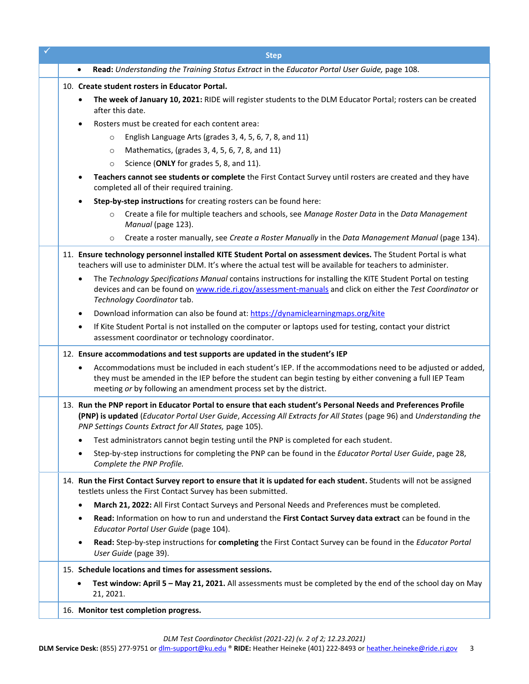| <b>Step</b>                                                                                                                                                                                                                                                                                     |
|-------------------------------------------------------------------------------------------------------------------------------------------------------------------------------------------------------------------------------------------------------------------------------------------------|
| Read: Understanding the Training Status Extract in the Educator Portal User Guide, page 108.<br>$\bullet$                                                                                                                                                                                       |
| 10. Create student rosters in Educator Portal.                                                                                                                                                                                                                                                  |
| The week of January 10, 2021: RIDE will register students to the DLM Educator Portal; rosters can be created<br>after this date.                                                                                                                                                                |
| Rosters must be created for each content area:<br>٠                                                                                                                                                                                                                                             |
| English Language Arts (grades 3, 4, 5, 6, 7, 8, and 11)<br>$\circ$                                                                                                                                                                                                                              |
| Mathematics, (grades 3, 4, 5, 6, 7, 8, and 11)<br>$\circ$                                                                                                                                                                                                                                       |
| Science (ONLY for grades 5, 8, and 11).<br>$\circ$                                                                                                                                                                                                                                              |
| Teachers cannot see students or complete the First Contact Survey until rosters are created and they have<br>٠<br>completed all of their required training.                                                                                                                                     |
| Step-by-step instructions for creating rosters can be found here:                                                                                                                                                                                                                               |
| Create a file for multiple teachers and schools, see Manage Roster Data in the Data Management<br>$\circ$<br>Manual (page 123).                                                                                                                                                                 |
| Create a roster manually, see Create a Roster Manually in the Data Management Manual (page 134).<br>$\circ$                                                                                                                                                                                     |
| 11. Ensure technology personnel installed KITE Student Portal on assessment devices. The Student Portal is what<br>teachers will use to administer DLM. It's where the actual test will be available for teachers to administer.                                                                |
| The Technology Specifications Manual contains instructions for installing the KITE Student Portal on testing<br>٠<br>devices and can be found on www.ride.ri.gov/assessment-manuals and click on either the Test Coordinator or<br>Technology Coordinator tab.                                  |
| Download information can also be found at: https://dynamiclearningmaps.org/kite<br>٠                                                                                                                                                                                                            |
| If Kite Student Portal is not installed on the computer or laptops used for testing, contact your district<br>$\bullet$<br>assessment coordinator or technology coordinator.                                                                                                                    |
| 12. Ensure accommodations and test supports are updated in the student's IEP                                                                                                                                                                                                                    |
| Accommodations must be included in each student's IEP. If the accommodations need to be adjusted or added,<br>they must be amended in the IEP before the student can begin testing by either convening a full IEP Team<br>meeting or by following an amendment process set by the district.     |
| 13. Run the PNP report in Educator Portal to ensure that each student's Personal Needs and Preferences Profile<br>(PNP) is updated (Educator Portal User Guide, Accessing All Extracts for All States (page 96) and Understanding the<br>PNP Settings Counts Extract for All States, page 105). |
| Test administrators cannot begin testing until the PNP is completed for each student.                                                                                                                                                                                                           |
| Step-by-step instructions for completing the PNP can be found in the Educator Portal User Guide, page 28,<br>Complete the PNP Profile.                                                                                                                                                          |
| 14. Run the First Contact Survey report to ensure that it is updated for each student. Students will not be assigned<br>testlets unless the First Contact Survey has been submitted.                                                                                                            |
| March 21, 2022: All First Contact Surveys and Personal Needs and Preferences must be completed.<br>٠                                                                                                                                                                                            |
| Read: Information on how to run and understand the First Contact Survey data extract can be found in the<br>٠<br>Educator Portal User Guide (page 104).                                                                                                                                         |
| Read: Step-by-step instructions for completing the First Contact Survey can be found in the Educator Portal<br>٠<br>User Guide (page 39).                                                                                                                                                       |
| 15. Schedule locations and times for assessment sessions.                                                                                                                                                                                                                                       |
| Test window: April 5 - May 21, 2021. All assessments must be completed by the end of the school day on May<br>21, 2021.                                                                                                                                                                         |
| 16. Monitor test completion progress.                                                                                                                                                                                                                                                           |
|                                                                                                                                                                                                                                                                                                 |